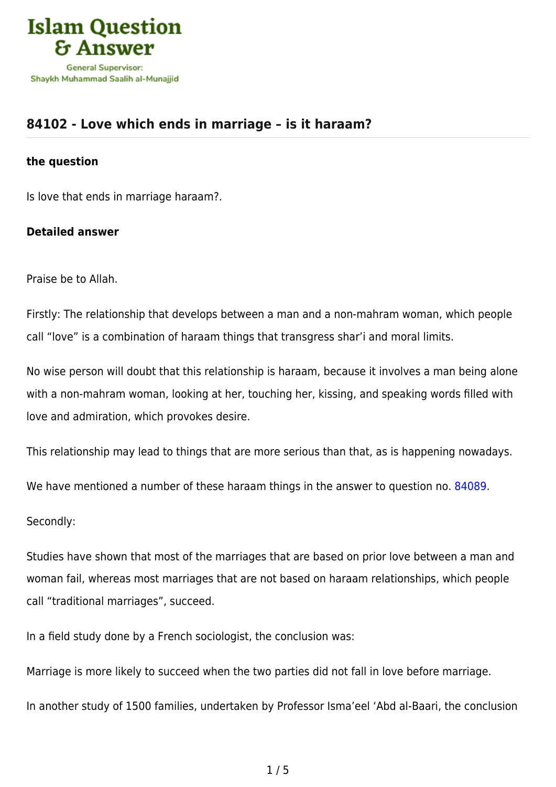

# **[84102 - Love which ends in marriage – is it haraam?](https://islamqa.com/en/answers/84102/love-which-ends-in-marriage-is-it-haraam)**

#### **the question**

Is love that ends in marriage haraam?.

## **Detailed answer**

Praise be to Allah.

Firstly: The relationship that develops between a man and a non-mahram woman, which people call "love" is a combination of haraam things that transgress shar'i and moral limits.

No wise person will doubt that this relationship is haraam, because it involves a man being alone with a non-mahram woman, looking at her, touching her, kissing, and speaking words filled with love and admiration, which provokes desire.

This relationship may lead to things that are more serious than that, as is happening nowadays.

We have mentioned a number of these haraam things in the answer to question no. [84089](https://islamqa.com/en/answers/84089).

Secondly:

Studies have shown that most of the marriages that are based on prior love between a man and woman fail, whereas most marriages that are not based on haraam relationships, which people call "traditional marriages", succeed.

In a field study done by a French sociologist, the conclusion was:

Marriage is more likely to succeed when the two parties did not fall in love before marriage.

In another study of 1500 families, undertaken by Professor Isma'eel 'Abd al-Baari, the conclusion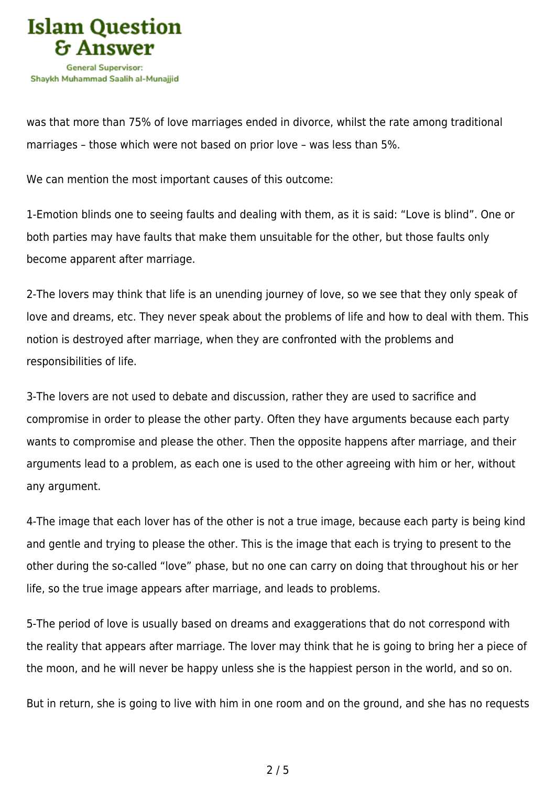

was that more than 75% of love marriages ended in divorce, whilst the rate among traditional marriages – those which were not based on prior love – was less than 5%.

We can mention the most important causes of this outcome:

1-Emotion blinds one to seeing faults and dealing with them, as it is said: "Love is blind". One or both parties may have faults that make them unsuitable for the other, but those faults only become apparent after marriage.

2-The lovers may think that life is an unending journey of love, so we see that they only speak of love and dreams, etc. They never speak about the problems of life and how to deal with them. This notion is destroyed after marriage, when they are confronted with the problems and responsibilities of life.

3-The lovers are not used to debate and discussion, rather they are used to sacrifice and compromise in order to please the other party. Often they have arguments because each party wants to compromise and please the other. Then the opposite happens after marriage, and their arguments lead to a problem, as each one is used to the other agreeing with him or her, without any argument.

4-The image that each lover has of the other is not a true image, because each party is being kind and gentle and trying to please the other. This is the image that each is trying to present to the other during the so-called "love" phase, but no one can carry on doing that throughout his or her life, so the true image appears after marriage, and leads to problems.

5-The period of love is usually based on dreams and exaggerations that do not correspond with the reality that appears after marriage. The lover may think that he is going to bring her a piece of the moon, and he will never be happy unless she is the happiest person in the world, and so on.

But in return, she is going to live with him in one room and on the ground, and she has no requests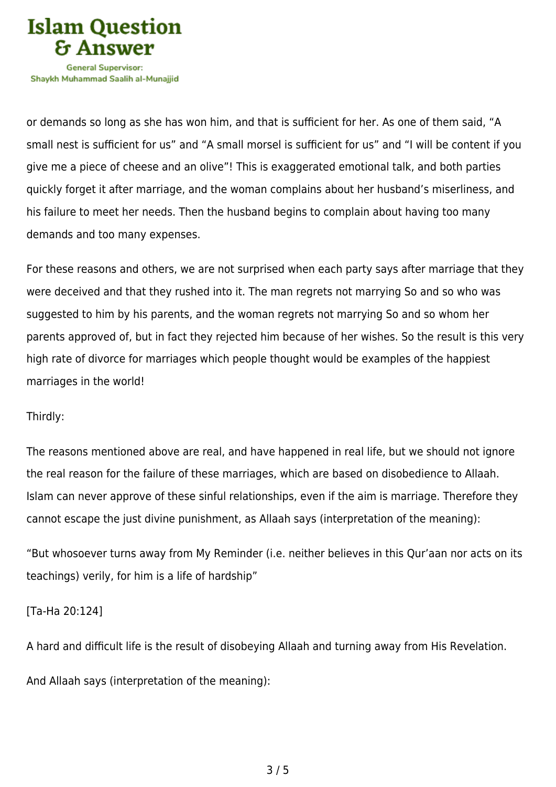

or demands so long as she has won him, and that is sufficient for her. As one of them said, "A small nest is sufficient for us" and "A small morsel is sufficient for us" and "I will be content if you give me a piece of cheese and an olive"! This is exaggerated emotional talk, and both parties quickly forget it after marriage, and the woman complains about her husband's miserliness, and his failure to meet her needs. Then the husband begins to complain about having too many demands and too many expenses.

For these reasons and others, we are not surprised when each party says after marriage that they were deceived and that they rushed into it. The man regrets not marrying So and so who was suggested to him by his parents, and the woman regrets not marrying So and so whom her parents approved of, but in fact they rejected him because of her wishes. So the result is this very high rate of divorce for marriages which people thought would be examples of the happiest marriages in the world!

#### Thirdly:

The reasons mentioned above are real, and have happened in real life, but we should not ignore the real reason for the failure of these marriages, which are based on disobedience to Allaah. Islam can never approve of these sinful relationships, even if the aim is marriage. Therefore they cannot escape the just divine punishment, as Allaah says (interpretation of the meaning):

"But whosoever turns away from My Reminder (i.e. neither believes in this Qur'aan nor acts on its teachings) verily, for him is a life of hardship"

## [Ta-Ha 20:124]

A hard and difficult life is the result of disobeying Allaah and turning away from His Revelation.

And Allaah says (interpretation of the meaning):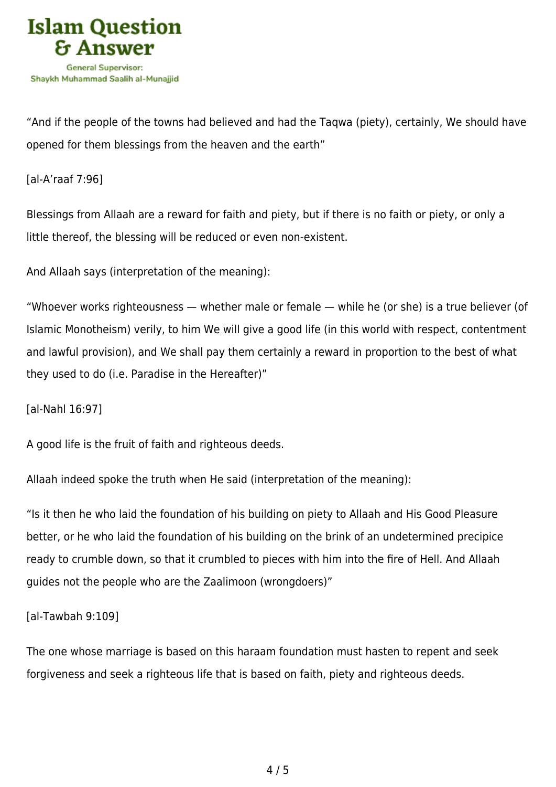

"And if the people of the towns had believed and had the Taqwa (piety), certainly, We should have opened for them blessings from the heaven and the earth"

[al-A'raaf 7:96]

Blessings from Allaah are a reward for faith and piety, but if there is no faith or piety, or only a little thereof, the blessing will be reduced or even non-existent.

And Allaah says (interpretation of the meaning):

"Whoever works righteousness — whether male or female — while he (or she) is a true believer (of Islamic Monotheism) verily, to him We will give a good life (in this world with respect, contentment and lawful provision), and We shall pay them certainly a reward in proportion to the best of what they used to do (i.e. Paradise in the Hereafter)"

[al-Nahl 16:97]

A good life is the fruit of faith and righteous deeds.

Allaah indeed spoke the truth when He said (interpretation of the meaning):

"Is it then he who laid the foundation of his building on piety to Allaah and His Good Pleasure better, or he who laid the foundation of his building on the brink of an undetermined precipice ready to crumble down, so that it crumbled to pieces with him into the fire of Hell. And Allaah guides not the people who are the Zaalimoon (wrongdoers)"

[al-Tawbah 9:109]

The one whose marriage is based on this haraam foundation must hasten to repent and seek forgiveness and seek a righteous life that is based on faith, piety and righteous deeds.